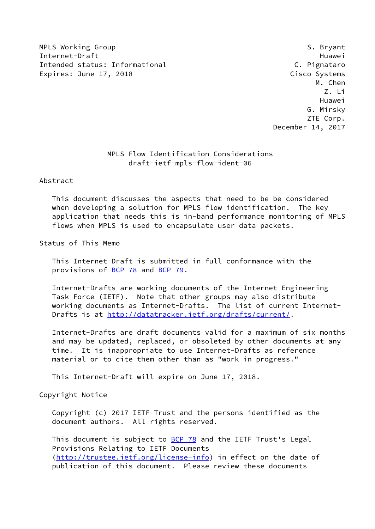MPLS Working Group **S. Bryant** S. Bryant Internet-Draft Huawei Intended status: Informational C. Pignataro Expires: June 17, 2018 Cisco Systems

 M. Chen Z. Li Huawei G. Mirsky ZTE Corp. December 14, 2017

# MPLS Flow Identification Considerations draft-ietf-mpls-flow-ident-06

# Abstract

 This document discusses the aspects that need to be be considered when developing a solution for MPLS flow identification. The key application that needs this is in-band performance monitoring of MPLS flows when MPLS is used to encapsulate user data packets.

# Status of This Memo

 This Internet-Draft is submitted in full conformance with the provisions of [BCP 78](https://datatracker.ietf.org/doc/pdf/bcp78) and [BCP 79](https://datatracker.ietf.org/doc/pdf/bcp79).

 Internet-Drafts are working documents of the Internet Engineering Task Force (IETF). Note that other groups may also distribute working documents as Internet-Drafts. The list of current Internet- Drafts is at<http://datatracker.ietf.org/drafts/current/>.

 Internet-Drafts are draft documents valid for a maximum of six months and may be updated, replaced, or obsoleted by other documents at any time. It is inappropriate to use Internet-Drafts as reference material or to cite them other than as "work in progress."

This Internet-Draft will expire on June 17, 2018.

Copyright Notice

 Copyright (c) 2017 IETF Trust and the persons identified as the document authors. All rights reserved.

This document is subject to **[BCP 78](https://datatracker.ietf.org/doc/pdf/bcp78)** and the IETF Trust's Legal Provisions Relating to IETF Documents [\(http://trustee.ietf.org/license-info](http://trustee.ietf.org/license-info)) in effect on the date of publication of this document. Please review these documents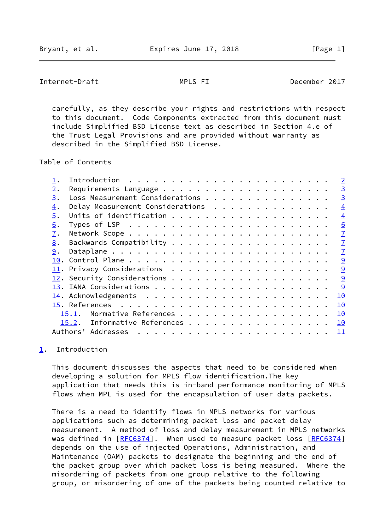<span id="page-1-1"></span>Internet-Draft MPLS FI December 2017

 carefully, as they describe your rights and restrictions with respect to this document. Code Components extracted from this document must include Simplified BSD License text as described in Section 4.e of the Trust Legal Provisions and are provided without warranty as described in the Simplified BSD License.

Table of Contents

|    |                                  |  |  |  |  |  |  |  |  |  | $\overline{\phantom{0}}^2$ |
|----|----------------------------------|--|--|--|--|--|--|--|--|--|----------------------------|
| 2. |                                  |  |  |  |  |  |  |  |  |  | $\overline{3}$             |
| 3. | Loss Measurement Considerations  |  |  |  |  |  |  |  |  |  | $\overline{3}$             |
| 4. | Delay Measurement Considerations |  |  |  |  |  |  |  |  |  | $\overline{4}$             |
| 5. |                                  |  |  |  |  |  |  |  |  |  | $\overline{4}$             |
| 6. |                                  |  |  |  |  |  |  |  |  |  | 6                          |
| 7. |                                  |  |  |  |  |  |  |  |  |  | $\overline{1}$             |
| 8. |                                  |  |  |  |  |  |  |  |  |  | $\overline{1}$             |
| 9. |                                  |  |  |  |  |  |  |  |  |  | $\overline{1}$             |
|    |                                  |  |  |  |  |  |  |  |  |  | 9                          |
|    |                                  |  |  |  |  |  |  |  |  |  | 9                          |
|    |                                  |  |  |  |  |  |  |  |  |  | $\overline{9}$             |
|    |                                  |  |  |  |  |  |  |  |  |  | 9                          |
|    |                                  |  |  |  |  |  |  |  |  |  | 10                         |
|    |                                  |  |  |  |  |  |  |  |  |  | 10                         |
|    | Normative References<br>15.1.    |  |  |  |  |  |  |  |  |  | 10                         |
|    | 15.2. Informative References     |  |  |  |  |  |  |  |  |  | 10                         |
|    | Authors' Addresses               |  |  |  |  |  |  |  |  |  | 11                         |
|    |                                  |  |  |  |  |  |  |  |  |  |                            |

# <span id="page-1-0"></span>[1](#page-1-0). Introduction

 This document discusses the aspects that need to be considered when developing a solution for MPLS flow identification.The key application that needs this is in-band performance monitoring of MPLS flows when MPL is used for the encapsulation of user data packets.

 There is a need to identify flows in MPLS networks for various applications such as determining packet loss and packet delay measurement. A method of loss and delay measurement in MPLS networks was defined in  $[REC6374]$ . When used to measure packet loss  $[REC6374]$  depends on the use of injected Operations, Administration, and Maintenance (OAM) packets to designate the beginning and the end of the packet group over which packet loss is being measured. Where the misordering of packets from one group relative to the following group, or misordering of one of the packets being counted relative to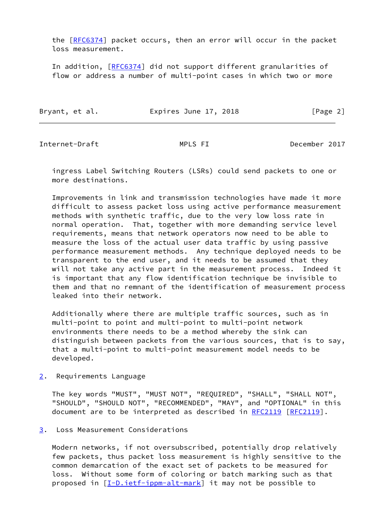the [\[RFC6374](https://datatracker.ietf.org/doc/pdf/rfc6374)] packet occurs, then an error will occur in the packet loss measurement.

 In addition, [\[RFC6374](https://datatracker.ietf.org/doc/pdf/rfc6374)] did not support different granularities of flow or address a number of multi-point cases in which two or more

| Bryant, et al. | Expires June 17, 2018 |  | [Page 2] |
|----------------|-----------------------|--|----------|
|----------------|-----------------------|--|----------|

<span id="page-2-1"></span>Internet-Draft MPLS FI December 2017

 ingress Label Switching Routers (LSRs) could send packets to one or more destinations.

 Improvements in link and transmission technologies have made it more difficult to assess packet loss using active performance measurement methods with synthetic traffic, due to the very low loss rate in normal operation. That, together with more demanding service level requirements, means that network operators now need to be able to measure the loss of the actual user data traffic by using passive performance measurement methods. Any technique deployed needs to be transparent to the end user, and it needs to be assumed that they will not take any active part in the measurement process. Indeed it is important that any flow identification technique be invisible to them and that no remnant of the identification of measurement process leaked into their network.

 Additionally where there are multiple traffic sources, such as in multi-point to point and multi-point to multi-point network environments there needs to be a method whereby the sink can distinguish between packets from the various sources, that is to say, that a multi-point to multi-point measurement model needs to be developed.

<span id="page-2-0"></span>[2](#page-2-0). Requirements Language

 The key words "MUST", "MUST NOT", "REQUIRED", "SHALL", "SHALL NOT", "SHOULD", "SHOULD NOT", "RECOMMENDED", "MAY", and "OPTIONAL" in this document are to be interpreted as described in [RFC2119](https://datatracker.ietf.org/doc/pdf/rfc2119) [\[RFC2119](https://datatracker.ietf.org/doc/pdf/rfc2119)].

<span id="page-2-2"></span>[3](#page-2-2). Loss Measurement Considerations

 Modern networks, if not oversubscribed, potentially drop relatively few packets, thus packet loss measurement is highly sensitive to the common demarcation of the exact set of packets to be measured for loss. Without some form of coloring or batch marking such as that proposed in [\[I-D.ietf-ippm-alt-mark](#page-10-5)] it may not be possible to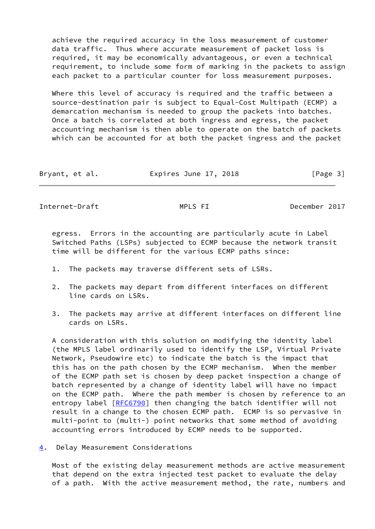achieve the required accuracy in the loss measurement of customer data traffic. Thus where accurate measurement of packet loss is required, it may be economically advantageous, or even a technical requirement, to include some form of marking in the packets to assign each packet to a particular counter for loss measurement purposes.

 Where this level of accuracy is required and the traffic between a source-destination pair is subject to Equal-Cost Multipath (ECMP) a demarcation mechanism is needed to group the packets into batches. Once a batch is correlated at both ingress and egress, the packet accounting mechanism is then able to operate on the batch of packets which can be accounted for at both the packet ingress and the packet

| Bryant, et al. | Expires June 17, 2018 | [Page 3] |
|----------------|-----------------------|----------|
|----------------|-----------------------|----------|

<span id="page-3-1"></span>Internet-Draft MPLS FI December 2017

 egress. Errors in the accounting are particularly acute in Label Switched Paths (LSPs) subjected to ECMP because the network transit time will be different for the various ECMP paths since:

- 1. The packets may traverse different sets of LSRs.
- 2. The packets may depart from different interfaces on different line cards on LSRs.
- 3. The packets may arrive at different interfaces on different line cards on LSRs.

 A consideration with this solution on modifying the identity label (the MPLS label ordinarily used to identify the LSP, Virtual Private Network, Pseudowire etc) to indicate the batch is the impact that this has on the path chosen by the ECMP mechanism. When the member of the ECMP path set is chosen by deep packet inspection a change of batch represented by a change of identity label will have no impact on the ECMP path. Where the path member is chosen by reference to an entropy label [[RFC6790](https://datatracker.ietf.org/doc/pdf/rfc6790)] then changing the batch identifier will not result in a change to the chosen ECMP path. ECMP is so pervasive in multi-point to (multi-) point networks that some method of avoiding accounting errors introduced by ECMP needs to be supported.

<span id="page-3-0"></span>[4](#page-3-0). Delay Measurement Considerations

 Most of the existing delay measurement methods are active measurement that depend on the extra injected test packet to evaluate the delay of a path. With the active measurement method, the rate, numbers and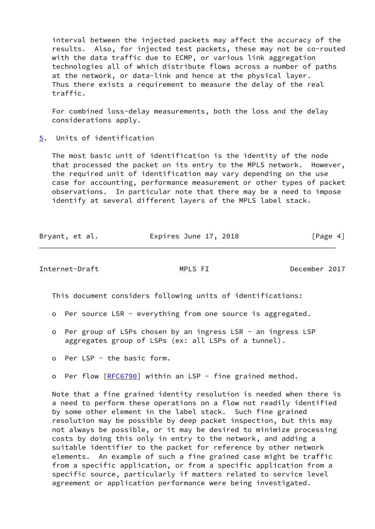interval between the injected packets may affect the accuracy of the results. Also, for injected test packets, these may not be co-routed with the data traffic due to ECMP, or various link aggregation technologies all of which distribute flows across a number of paths at the network, or data-link and hence at the physical layer. Thus there exists a requirement to measure the delay of the real traffic.

 For combined loss-delay measurements, both the loss and the delay considerations apply.

<span id="page-4-0"></span>[5](#page-4-0). Units of identification

 The most basic unit of identification is the identity of the node that processed the packet on its entry to the MPLS network. However, the required unit of identification may vary depending on the use case for accounting, performance measurement or other types of packet observations. In particular note that there may be a need to impose identify at several different layers of the MPLS label stack.

|  | Bryant, et al. | Expires June 17, 2018 | [Page 4] |
|--|----------------|-----------------------|----------|
|--|----------------|-----------------------|----------|

Internet-Draft MPLS FI December 2017

This document considers following units of identifications:

- o Per source LSR everything from one source is aggregated.
- o Per group of LSPs chosen by an ingress LSR an ingress LSP aggregates group of LSPs (ex: all LSPs of a tunnel).
- o Per LSP the basic form.
- o Per flow [\[RFC6790](https://datatracker.ietf.org/doc/pdf/rfc6790)] within an LSP fine grained method.

 Note that a fine grained identity resolution is needed when there is a need to perform these operations on a flow not readily identified by some other element in the label stack. Such fine grained resolution may be possible by deep packet inspection, but this may not always be possible, or it may be desired to minimize processing costs by doing this only in entry to the network, and adding a suitable identifier to the packet for reference by other network elements. An example of such a fine grained case might be traffic from a specific application, or from a specific application from a specific source, particularly if matters related to service level agreement or application performance were being investigated.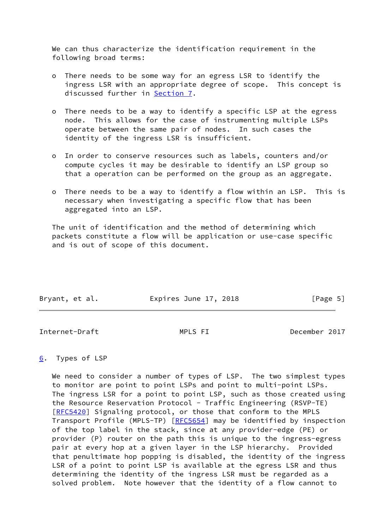We can thus characterize the identification requirement in the following broad terms:

- o There needs to be some way for an egress LSR to identify the ingress LSR with an appropriate degree of scope. This concept is discussed further in [Section 7](#page-6-0).
- o There needs to be a way to identify a specific LSP at the egress node. This allows for the case of instrumenting multiple LSPs operate between the same pair of nodes. In such cases the identity of the ingress LSR is insufficient.
- o In order to conserve resources such as labels, counters and/or compute cycles it may be desirable to identify an LSP group so that a operation can be performed on the group as an aggregate.
- o There needs to be a way to identify a flow within an LSP. This is necessary when investigating a specific flow that has been aggregated into an LSP.

 The unit of identification and the method of determining which packets constitute a flow will be application or use-case specific and is out of scope of this document.

| Bryant, et al. | Expires June 17, 2018 | [Page 5] |
|----------------|-----------------------|----------|
|                |                       |          |

<span id="page-5-1"></span>Internet-Draft MPLS FI December 2017

# <span id="page-5-0"></span>[6](#page-5-0). Types of LSP

We need to consider a number of types of LSP. The two simplest types to monitor are point to point LSPs and point to multi-point LSPs. The ingress LSR for a point to point LSP, such as those created using the Resource Reservation Protocol - Traffic Engineering (RSVP-TE) [\[RFC5420](https://datatracker.ietf.org/doc/pdf/rfc5420)] Signaling protocol, or those that conform to the MPLS Transport Profile (MPLS-TP) [\[RFC5654](https://datatracker.ietf.org/doc/pdf/rfc5654)] may be identified by inspection of the top label in the stack, since at any provider-edge (PE) or provider (P) router on the path this is unique to the ingress-egress pair at every hop at a given layer in the LSP hierarchy. Provided that penultimate hop popping is disabled, the identity of the ingress LSR of a point to point LSP is available at the egress LSR and thus determining the identity of the ingress LSR must be regarded as a solved problem. Note however that the identity of a flow cannot to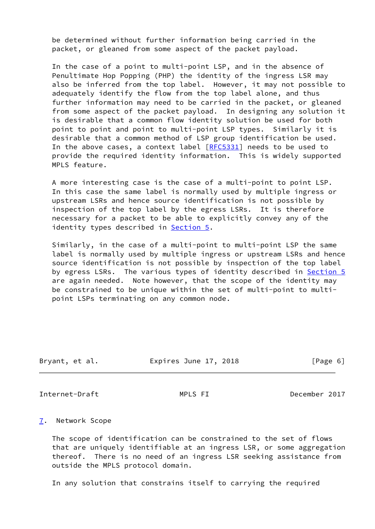be determined without further information being carried in the packet, or gleaned from some aspect of the packet payload.

 In the case of a point to multi-point LSP, and in the absence of Penultimate Hop Popping (PHP) the identity of the ingress LSR may also be inferred from the top label. However, it may not possible to adequately identify the flow from the top label alone, and thus further information may need to be carried in the packet, or gleaned from some aspect of the packet payload. In designing any solution it is desirable that a common flow identity solution be used for both point to point and point to multi-point LSP types. Similarly it is desirable that a common method of LSP group identification be used. In the above cases, a context label [\[RFC5331](https://datatracker.ietf.org/doc/pdf/rfc5331)] needs to be used to provide the required identity information. This is widely supported MPLS feature.

 A more interesting case is the case of a multi-point to point LSP. In this case the same label is normally used by multiple ingress or upstream LSRs and hence source identification is not possible by inspection of the top label by the egress LSRs. It is therefore necessary for a packet to be able to explicitly convey any of the identity types described in [Section 5.](#page-4-0)

 Similarly, in the case of a multi-point to multi-point LSP the same label is normally used by multiple ingress or upstream LSRs and hence source identification is not possible by inspection of the top label by egress LSRs. The various types of identity described in [Section 5](#page-4-0) are again needed. Note however, that the scope of the identity may be constrained to be unique within the set of multi-point to multi point LSPs terminating on any common node.

| Bryant, et al. | Expires June 17, 2018 | [Page 6] |
|----------------|-----------------------|----------|
|                |                       |          |

<span id="page-6-1"></span>Internet-Draft MPLS FI December 2017

### <span id="page-6-0"></span>[7](#page-6-0). Network Scope

 The scope of identification can be constrained to the set of flows that are uniquely identifiable at an ingress LSR, or some aggregation thereof. There is no need of an ingress LSR seeking assistance from outside the MPLS protocol domain.

In any solution that constrains itself to carrying the required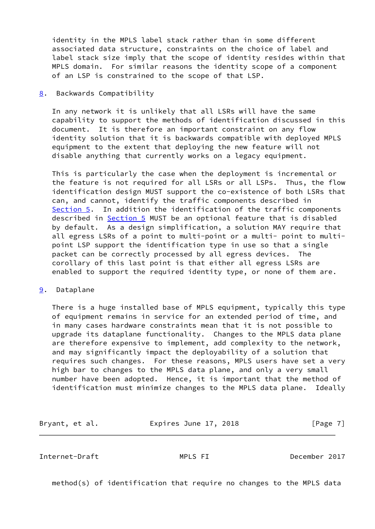identity in the MPLS label stack rather than in some different associated data structure, constraints on the choice of label and label stack size imply that the scope of identity resides within that MPLS domain. For similar reasons the identity scope of a component of an LSP is constrained to the scope of that LSP.

### <span id="page-7-0"></span>[8](#page-7-0). Backwards Compatibility

 In any network it is unlikely that all LSRs will have the same capability to support the methods of identification discussed in this document. It is therefore an important constraint on any flow identity solution that it is backwards compatible with deployed MPLS equipment to the extent that deploying the new feature will not disable anything that currently works on a legacy equipment.

 This is particularly the case when the deployment is incremental or the feature is not required for all LSRs or all LSPs. Thus, the flow identification design MUST support the co-existence of both LSRs that can, and cannot, identify the traffic components described in [Section 5](#page-4-0). In addition the identification of the traffic components described in [Section 5](#page-4-0) MUST be an optional feature that is disabled by default. As a design simplification, a solution MAY require that all egress LSRs of a point to multi-point or a multi- point to multi point LSP support the identification type in use so that a single packet can be correctly processed by all egress devices. The corollary of this last point is that either all egress LSRs are enabled to support the required identity type, or none of them are.

## <span id="page-7-1"></span>[9](#page-7-1). Dataplane

 There is a huge installed base of MPLS equipment, typically this type of equipment remains in service for an extended period of time, and in many cases hardware constraints mean that it is not possible to upgrade its dataplane functionality. Changes to the MPLS data plane are therefore expensive to implement, add complexity to the network, and may significantly impact the deployability of a solution that requires such changes. For these reasons, MPLS users have set a very high bar to changes to the MPLS data plane, and only a very small number have been adopted. Hence, it is important that the method of identification must minimize changes to the MPLS data plane. Ideally

Bryant, et al. **Expires June 17, 2018** [Page 7]

Internet-Draft MPLS FI December 2017

method(s) of identification that require no changes to the MPLS data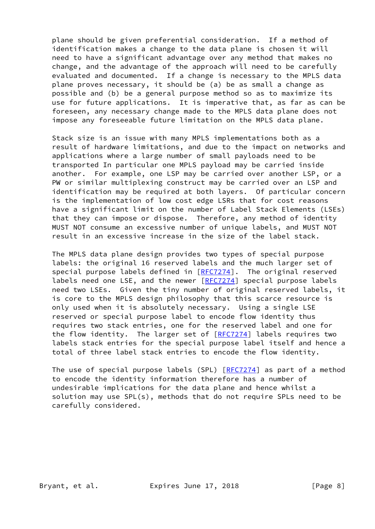plane should be given preferential consideration. If a method of identification makes a change to the data plane is chosen it will need to have a significant advantage over any method that makes no change, and the advantage of the approach will need to be carefully evaluated and documented. If a change is necessary to the MPLS data plane proves necessary, it should be (a) be as small a change as possible and (b) be a general purpose method so as to maximize its use for future applications. It is imperative that, as far as can be foreseen, any necessary change made to the MPLS data plane does not impose any foreseeable future limitation on the MPLS data plane.

 Stack size is an issue with many MPLS implementations both as a result of hardware limitations, and due to the impact on networks and applications where a large number of small payloads need to be transported In particular one MPLS payload may be carried inside another. For example, one LSP may be carried over another LSP, or a PW or similar multiplexing construct may be carried over an LSP and identification may be required at both layers. Of particular concern is the implementation of low cost edge LSRs that for cost reasons have a significant limit on the number of Label Stack Elements (LSEs) that they can impose or dispose. Therefore, any method of identity MUST NOT consume an excessive number of unique labels, and MUST NOT result in an excessive increase in the size of the label stack.

 The MPLS data plane design provides two types of special purpose labels: the original 16 reserved labels and the much larger set of special purpose labels defined in  $[REC7274]$ . The original reserved labels need one LSE, and the newer [[RFC7274\]](https://datatracker.ietf.org/doc/pdf/rfc7274) special purpose labels need two LSEs. Given the tiny number of original reserved labels, it is core to the MPLS design philosophy that this scarce resource is only used when it is absolutely necessary. Using a single LSE reserved or special purpose label to encode flow identity thus requires two stack entries, one for the reserved label and one for the flow identity. The larger set of  $[REC7274]$  labels requires two labels stack entries for the special purpose label itself and hence a total of three label stack entries to encode the flow identity.

 The use of special purpose labels (SPL) [\[RFC7274](https://datatracker.ietf.org/doc/pdf/rfc7274)] as part of a method to encode the identity information therefore has a number of undesirable implications for the data plane and hence whilst a solution may use SPL(s), methods that do not require SPLs need to be carefully considered.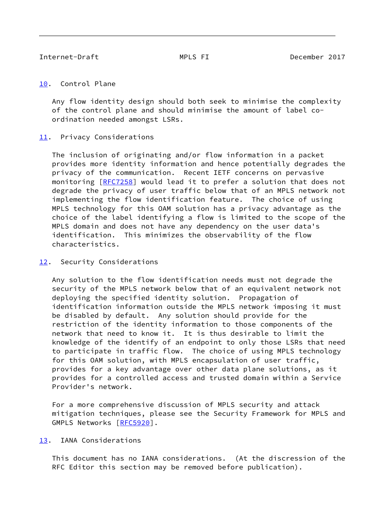### <span id="page-9-1"></span><span id="page-9-0"></span>[10.](#page-9-0) Control Plane

 Any flow identity design should both seek to minimise the complexity of the control plane and should minimise the amount of label co ordination needed amongst LSRs.

## <span id="page-9-2"></span>[11.](#page-9-2) Privacy Considerations

 The inclusion of originating and/or flow information in a packet provides more identity information and hence potentially degrades the privacy of the communication. Recent IETF concerns on pervasive monitoring [[RFC7258\]](https://datatracker.ietf.org/doc/pdf/rfc7258) would lead it to prefer a solution that does not degrade the privacy of user traffic below that of an MPLS network not implementing the flow identification feature. The choice of using MPLS technology for this OAM solution has a privacy advantage as the choice of the label identifying a flow is limited to the scope of the MPLS domain and does not have any dependency on the user data's identification. This minimizes the observability of the flow characteristics.

## <span id="page-9-3"></span>[12.](#page-9-3) Security Considerations

 Any solution to the flow identification needs must not degrade the security of the MPLS network below that of an equivalent network not deploying the specified identity solution. Propagation of identification information outside the MPLS network imposing it must be disabled by default. Any solution should provide for the restriction of the identity information to those components of the network that need to know it. It is thus desirable to limit the knowledge of the identify of an endpoint to only those LSRs that need to participate in traffic flow. The choice of using MPLS technology for this OAM solution, with MPLS encapsulation of user traffic, provides for a key advantage over other data plane solutions, as it provides for a controlled access and trusted domain within a Service Provider's network.

 For a more comprehensive discussion of MPLS security and attack mitigation techniques, please see the Security Framework for MPLS and GMPLS Networks [\[RFC5920](https://datatracker.ietf.org/doc/pdf/rfc5920)].

## <span id="page-9-4"></span>[13.](#page-9-4) IANA Considerations

 This document has no IANA considerations. (At the discression of the RFC Editor this section may be removed before publication).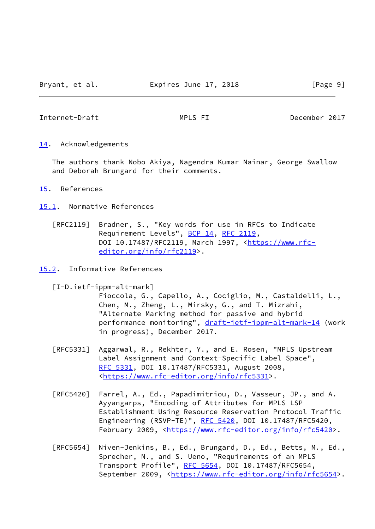<span id="page-10-1"></span>Internet-Draft MPLS FI December 2017

<span id="page-10-0"></span>[14.](#page-10-0) Acknowledgements

 The authors thank Nobo Akiya, Nagendra Kumar Nainar, George Swallow and Deborah Brungard for their comments.

- <span id="page-10-2"></span>[15.](#page-10-2) References
- <span id="page-10-3"></span>[15.1](#page-10-3). Normative References
	- [RFC2119] Bradner, S., "Key words for use in RFCs to Indicate Requirement Levels", [BCP 14](https://datatracker.ietf.org/doc/pdf/bcp14), [RFC 2119](https://datatracker.ietf.org/doc/pdf/rfc2119), DOI 10.17487/RFC2119, March 1997, [<https://www.rfc](https://www.rfc-editor.org/info/rfc2119) [editor.org/info/rfc2119](https://www.rfc-editor.org/info/rfc2119)>.
- <span id="page-10-5"></span><span id="page-10-4"></span>[15.2](#page-10-4). Informative References
	- [I-D.ietf-ippm-alt-mark]

 Fioccola, G., Capello, A., Cociglio, M., Castaldelli, L., Chen, M., Zheng, L., Mirsky, G., and T. Mizrahi, "Alternate Marking method for passive and hybrid performance monitoring", [draft-ietf-ippm-alt-mark-14](https://datatracker.ietf.org/doc/pdf/draft-ietf-ippm-alt-mark-14) (work in progress), December 2017.

- [RFC5331] Aggarwal, R., Rekhter, Y., and E. Rosen, "MPLS Upstream Label Assignment and Context-Specific Label Space", [RFC 5331,](https://datatracker.ietf.org/doc/pdf/rfc5331) DOI 10.17487/RFC5331, August 2008, <[https://www.rfc-editor.org/info/rfc5331>](https://www.rfc-editor.org/info/rfc5331).
- [RFC5420] Farrel, A., Ed., Papadimitriou, D., Vasseur, JP., and A. Ayyangarps, "Encoding of Attributes for MPLS LSP Establishment Using Resource Reservation Protocol Traffic Engineering (RSVP-TE)", [RFC 5420,](https://datatracker.ietf.org/doc/pdf/rfc5420) DOI 10.17487/RFC5420, February 2009, <<https://www.rfc-editor.org/info/rfc5420>>.
- [RFC5654] Niven-Jenkins, B., Ed., Brungard, D., Ed., Betts, M., Ed., Sprecher, N., and S. Ueno, "Requirements of an MPLS Transport Profile", [RFC 5654,](https://datatracker.ietf.org/doc/pdf/rfc5654) DOI 10.17487/RFC5654, September 2009, <[https://www.rfc-editor.org/info/rfc5654>](https://www.rfc-editor.org/info/rfc5654).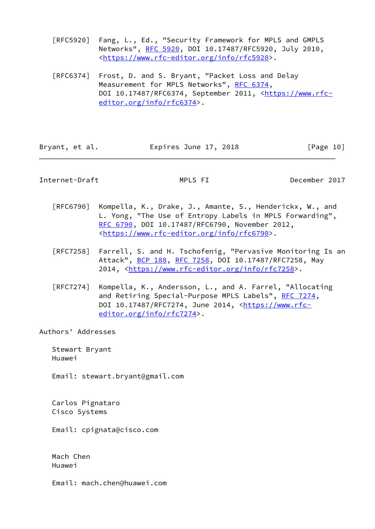[RFC5920] Fang, L., Ed., "Security Framework for MPLS and GMPLS Networks", [RFC 5920](https://datatracker.ietf.org/doc/pdf/rfc5920), DOI 10.17487/RFC5920, July 2010, <[https://www.rfc-editor.org/info/rfc5920>](https://www.rfc-editor.org/info/rfc5920).

 [RFC6374] Frost, D. and S. Bryant, "Packet Loss and Delay Measurement for MPLS Networks", [RFC 6374,](https://datatracker.ietf.org/doc/pdf/rfc6374) DOI 10.17487/RFC6374, September 2011, [<https://www.rfc](https://www.rfc-editor.org/info/rfc6374) [editor.org/info/rfc6374](https://www.rfc-editor.org/info/rfc6374)>.

| Expires June 17, 2018<br>Bryant, et al. |  |  |  | [Page 10] |  |
|-----------------------------------------|--|--|--|-----------|--|
|-----------------------------------------|--|--|--|-----------|--|

## <span id="page-11-0"></span>Internet-Draft MPLS FI December 2017

- [RFC6790] Kompella, K., Drake, J., Amante, S., Henderickx, W., and L. Yong, "The Use of Entropy Labels in MPLS Forwarding", [RFC 6790,](https://datatracker.ietf.org/doc/pdf/rfc6790) DOI 10.17487/RFC6790, November 2012, <[https://www.rfc-editor.org/info/rfc6790>](https://www.rfc-editor.org/info/rfc6790).
- [RFC7258] Farrell, S. and H. Tschofenig, "Pervasive Monitoring Is an Attack", [BCP 188,](https://datatracker.ietf.org/doc/pdf/bcp188) [RFC 7258](https://datatracker.ietf.org/doc/pdf/rfc7258), DOI 10.17487/RFC7258, May 2014, [<https://www.rfc-editor.org/info/rfc7258](https://www.rfc-editor.org/info/rfc7258)>.
- [RFC7274] Kompella, K., Andersson, L., and A. Farrel, "Allocating and Retiring Special-Purpose MPLS Labels", [RFC 7274](https://datatracker.ietf.org/doc/pdf/rfc7274), DOI 10.17487/RFC7274, June 2014, [<https://www.rfc](https://www.rfc-editor.org/info/rfc7274) [editor.org/info/rfc7274](https://www.rfc-editor.org/info/rfc7274)>.

Authors' Addresses

 Stewart Bryant Huawei

Email: stewart.bryant@gmail.com

 Carlos Pignataro Cisco Systems

Email: cpignata@cisco.com

 Mach Chen Huawei

Email: mach.chen@huawei.com